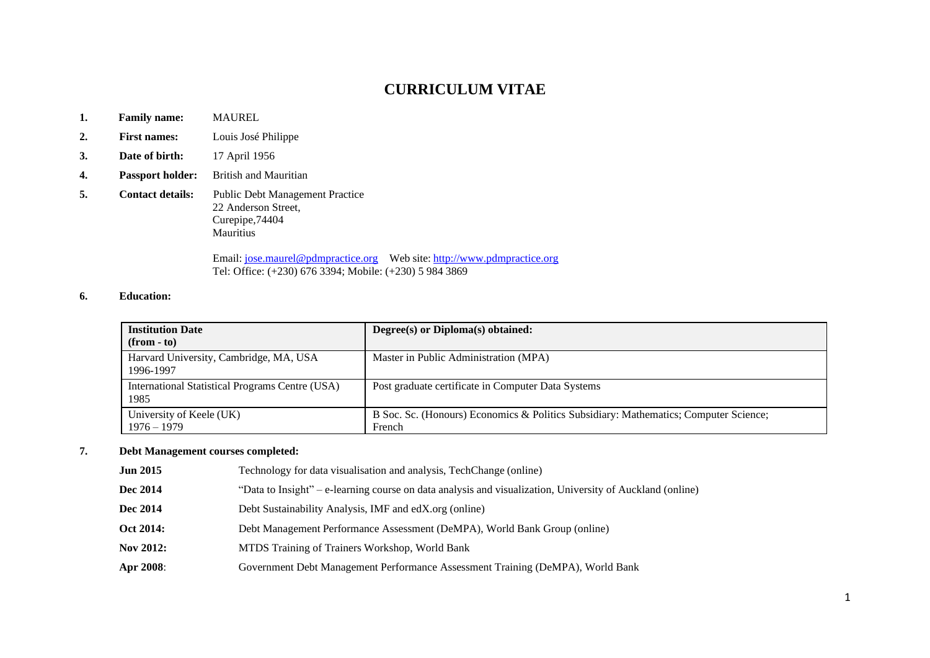# **CURRICULUM VITAE**

- **1. Family name:** MAUREL
- **2. First names:** Louis José Philippe
- **3. Date of birth:** 17 April 1956
- **4. Passport holder:** British and Mauritian
- **5. Contact details:** Public Debt Management Practice 22 Anderson Street, Curepipe,74404 Mauritius

Email: [jose.maurel@pdmpractice.org](mailto:jose.maurel@pdmpractice.org) Web site: [http://www.pdmpractice.org](http://www.pdmpractice.org/) Tel: Office: (+230) 676 3394; Mobile: (+230) 5 984 3869

## **6. Education:**

| <b>Institution Date</b><br>$(from - to)$                | Degree(s) or Diploma(s) obtained:                                                              |
|---------------------------------------------------------|------------------------------------------------------------------------------------------------|
| Harvard University, Cambridge, MA, USA<br>1996-1997     | Master in Public Administration (MPA)                                                          |
| International Statistical Programs Centre (USA)<br>1985 | Post graduate certificate in Computer Data Systems                                             |
| University of Keele (UK)<br>$1976 - 1979$               | B Soc. Sc. (Honours) Economics & Politics Subsidiary: Mathematics; Computer Science;<br>French |

# **7. Debt Management courses completed:**

| <b>Jun 2015</b>  | Technology for data visualisation and analysis, TechChange (online)                                       |
|------------------|-----------------------------------------------------------------------------------------------------------|
| Dec 2014         | "Data to Insight" – e-learning course on data analysis and visualization, University of Auckland (online) |
| Dec 2014         | Debt Sustainability Analysis, IMF and edX.org (online)                                                    |
| Oct 2014:        | Debt Management Performance Assessment (DeMPA), World Bank Group (online)                                 |
| <b>Nov 2012:</b> | MTDS Training of Trainers Workshop, World Bank                                                            |
| Apr 2008:        | Government Debt Management Performance Assessment Training (DeMPA), World Bank                            |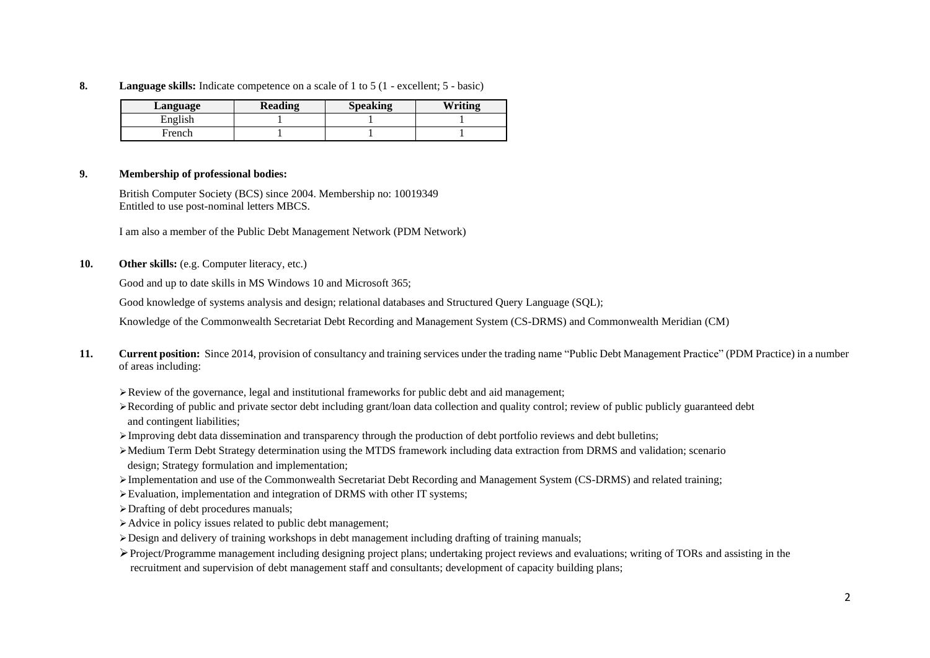#### **8. Language skills:** Indicate competence on a scale of 1 to 5 (1 - excellent; 5 - basic)

| Language | <b>Reading</b> | <b>Speaking</b> | Writing |
|----------|----------------|-----------------|---------|
| English  |                |                 |         |
| French   |                |                 |         |

#### **9. Membership of professional bodies:**

British Computer Society (BCS) since 2004. Membership no: 10019349 Entitled to use post-nominal letters MBCS.

I am also a member of the Public Debt Management Network (PDM Network)

**10. Other skills:** (e.g. Computer literacy, etc.)

Good and up to date skills in MS Windows 10 and Microsoft 365;

Good knowledge of systems analysis and design; relational databases and Structured Query Language (SQL);

Knowledge of the Commonwealth Secretariat Debt Recording and Management System (CS-DRMS) and Commonwealth Meridian (CM)

- **11. Current position:** Since 2014, provision of consultancy and training services under the trading name "Public Debt Management Practice" (PDM Practice) in a number of areas including:
	- ➢Review of the governance, legal and institutional frameworks for public debt and aid management;
	- ➢Recording of public and private sector debt including grant/loan data collection and quality control; review of public publicly guaranteed debt and contingent liabilities;
	- ➢Improving debt data dissemination and transparency through the production of debt portfolio reviews and debt bulletins;
	- ➢Medium Term Debt Strategy determination using the MTDS framework including data extraction from DRMS and validation; scenario design; Strategy formulation and implementation;
	- ➢Implementation and use of the Commonwealth Secretariat Debt Recording and Management System (CS-DRMS) and related training;
	- ➢Evaluation, implementation and integration of DRMS with other IT systems;
	- ➢Drafting of debt procedures manuals;
	- ➢Advice in policy issues related to public debt management;
	- ➢Design and delivery of training workshops in debt management including drafting of training manuals;
	- ➢Project/Programme management including designing project plans; undertaking project reviews and evaluations; writing of TORs and assisting in the recruitment and supervision of debt management staff and consultants; development of capacity building plans;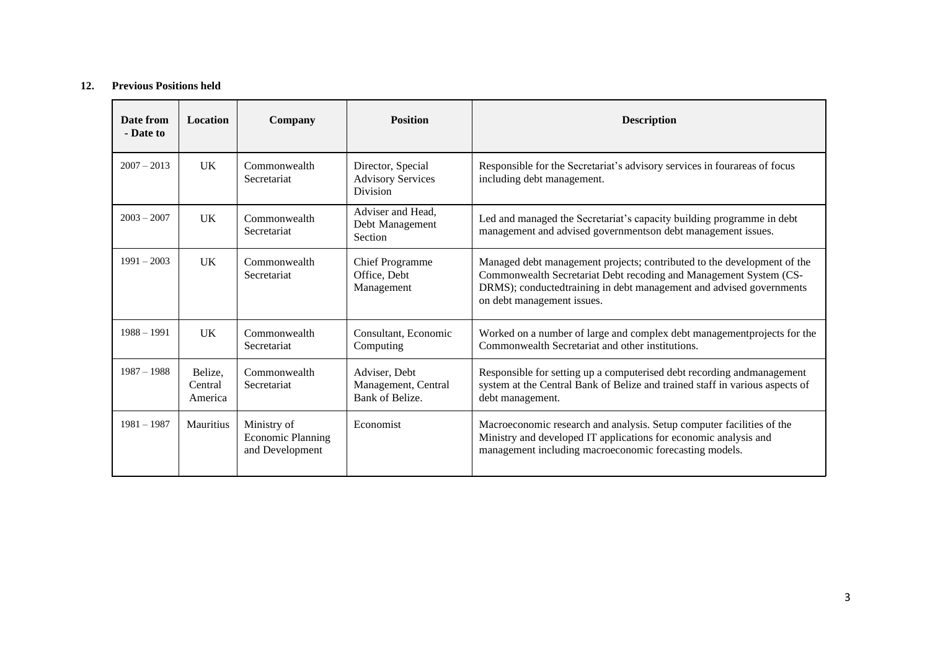## **12. Previous Positions held**

| Date from<br>- Date to | <b>Location</b>               | Company                                                    | <b>Position</b>                                           | <b>Description</b>                                                                                                                                                                                                                                |
|------------------------|-------------------------------|------------------------------------------------------------|-----------------------------------------------------------|---------------------------------------------------------------------------------------------------------------------------------------------------------------------------------------------------------------------------------------------------|
| $2007 - 2013$          | <b>UK</b>                     | Commonwealth<br>Secretariat                                | Director, Special<br><b>Advisory Services</b><br>Division | Responsible for the Secretariat's advisory services in fourareas of focus<br>including debt management.                                                                                                                                           |
| $2003 - 2007$          | <b>UK</b>                     | Commonwealth<br>Secretariat                                | Adviser and Head,<br>Debt Management<br>Section           | Led and managed the Secretariat's capacity building programme in debt<br>management and advised governmentson debt management issues.                                                                                                             |
| $1991 - 2003$          | UK                            | Commonwealth<br>Secretariat                                | <b>Chief Programme</b><br>Office, Debt<br>Management      | Managed debt management projects; contributed to the development of the<br>Commonwealth Secretariat Debt recoding and Management System (CS-<br>DRMS); conductedtraining in debt management and advised governments<br>on debt management issues. |
| $1988 - 1991$          | UK                            | Commonwealth<br>Secretariat                                | Consultant, Economic<br>Computing                         | Worked on a number of large and complex debt management projects for the<br>Commonwealth Secretariat and other institutions.                                                                                                                      |
| $1987 - 1988$          | Belize.<br>Central<br>America | Commonwealth<br>Secretariat                                | Adviser, Debt<br>Management, Central<br>Bank of Belize.   | Responsible for setting up a computerised debt recording andmanagement<br>system at the Central Bank of Belize and trained staff in various aspects of<br>debt management.                                                                        |
| $1981 - 1987$          | Mauritius                     | Ministry of<br><b>Economic Planning</b><br>and Development | Economist                                                 | Macroeconomic research and analysis. Setup computer facilities of the<br>Ministry and developed IT applications for economic analysis and<br>management including macroeconomic forecasting models.                                               |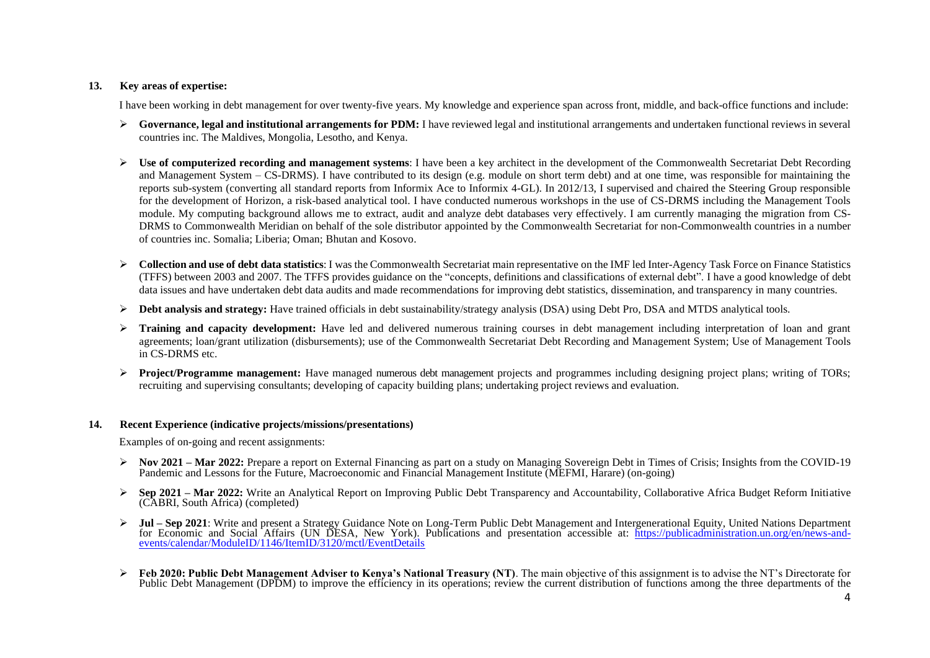## **13. Key areas of expertise:**

I have been working in debt management for over twenty-five years. My knowledge and experience span across front, middle, and back-office functions and include:

- ➢ **Governance, legal and institutional arrangements for PDM:** I have reviewed legal and institutional arrangements and undertaken functional reviews in several countries inc. The Maldives, Mongolia, Lesotho, and Kenya.
- ➢ **Use of computerized recording and management systems**: I have been a key architect in the development of the Commonwealth Secretariat Debt Recording and Management System – CS-DRMS). I have contributed to its design (e.g. module on short term debt) and at one time, was responsible for maintaining the reports sub-system (converting all standard reports from Informix Ace to Informix 4-GL). In 2012/13, I supervised and chaired the Steering Group responsible for the development of Horizon, a risk-based analytical tool. I have conducted numerous workshops in the use of CS-DRMS including the Management Tools module. My computing background allows me to extract, audit and analyze debt databases very effectively. I am currently managing the migration from CS-DRMS to Commonwealth Meridian on behalf of the sole distributor appointed by the Commonwealth Secretariat for non-Commonwealth countries in a number of countries inc. Somalia; Liberia; Oman; Bhutan and Kosovo.
- ➢ **Collection and use of debt data statistics**: I was the Commonwealth Secretariat main representative on the IMF led Inter-Agency Task Force on Finance Statistics (TFFS) between 2003 and 2007. The TFFS provides guidance on the "concepts, definitions and classifications of external debt". I have a good knowledge of debt data issues and have undertaken debt data audits and made recommendations for improving debt statistics, dissemination, and transparency in many countries.
- ➢ **Debt analysis and strategy:** Have trained officials in debt sustainability/strategy analysis (DSA) using Debt Pro, DSA and MTDS analytical tools.
- ➢ **Training and capacity development:** Have led and delivered numerous training courses in debt management including interpretation of loan and grant agreements; loan/grant utilization (disbursements); use of the Commonwealth Secretariat Debt Recording and Management System; Use of Management Tools in CS-DRMS etc.
- ➢ **Project/Programme management:** Have managed numerous debt management projects and programmes including designing project plans; writing of TORs; recruiting and supervising consultants; developing of capacity building plans; undertaking project reviews and evaluation.

## **14. Recent Experience (indicative projects/missions/presentations)**

Examples of on-going and recent assignments:

- ➢ **Nov 2021 – Mar 2022:** Prepare a report on External Financing as part on a study on Managing Sovereign Debt in Times of Crisis; Insights from the COVID-19 Pandemic and Lessons for the Future, Macroeconomic and Financial Management Institute (MEFMI, Harare) (on-going)
- ➢ **Sep 2021 – Mar 2022:** Write an Analytical Report on Improving Public Debt Transparency and Accountability, Collaborative Africa Budget Reform Initiative (CABRI, South Africa) (completed)
- ➢ **Jul – Sep 2021**: Write and present a Strategy Guidance Note on Long-Term Public Debt Management and Intergenerational Equity, United Nations Department for Economic and Social Affairs (UN DESA, New York). Publications and presentation accessible at: [https://publicadministration.un.org/en/news-and](https://publicadministration.un.org/en/news-and-events/calendar/ModuleID/1146/ItemID/3120/mctl/EventDetails)[events/calendar/ModuleID/1146/ItemID/3120/mctl/EventDetails](https://publicadministration.un.org/en/news-and-events/calendar/ModuleID/1146/ItemID/3120/mctl/EventDetails)
- ➢ **Feb 2020: Public Debt Management Adviser to Kenya's National Treasury (NT)**. The main objective of this assignment is to advise the NT's Directorate for Public Debt Management (DPDM) to improve the efficiency in its operations; review the current distribution of functions among the three departments of the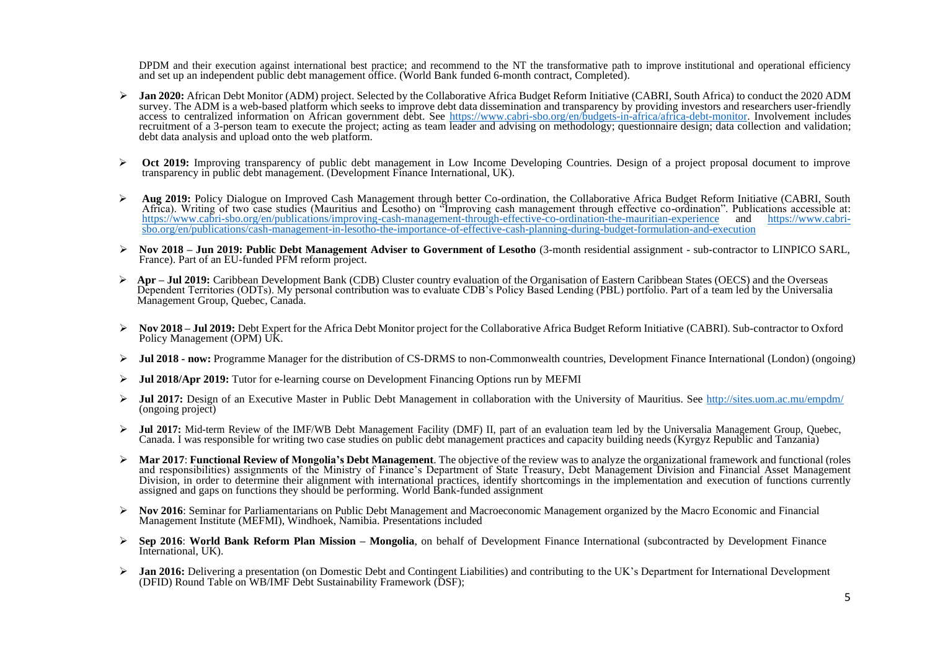DPDM and their execution against international best practice; and recommend to the NT the transformative path to improve institutional and operational efficiency and set up an independent public debt management office. (World Bank funded 6-month contract, Completed).

- ➢ **Jan 2020:** African Debt Monitor (ADM) project. Selected by the Collaborative Africa Budget Reform Initiative (CABRI, South Africa) to conduct the 2020 ADM survey. The ADM is a web-based platform which seeks to improve debt data dissemination and transparency by providing investors and researchers user-friendly access to centralized information on African government debt. See [https://www.cabri-sbo.org/en/budgets-in-africa/africa-debt-monitor. I](https://www.cabri-sbo.org/en/budgets-in-africa/africa-debt-monitor)nvolvement includes recruitment of a 3-person team to execute the project; acting as team leader and advising on methodology; questionnaire design; data collection and validation; debt data analysis and upload onto the web platform.
- ➢ **Oct 2019:** Improving transparency of public debt management in Low Income Developing Countries. Design of a project proposal document to improve transparency in public debt management. (Development Finance International, UK).
- ➢ **Aug 2019:** Policy Dialogue on Improved Cash Management through better Co-ordination, the Collaborative Africa Budget Reform Initiative (CABRI, South Africa). Writing of two case studies (Mauritius and Lesotho) on "Improving cash management through effective co-ordination". Publications accessible at:<br>https://www.cabri-sbo.org/en/publications/improving-cash-management-t <https://www.cabri-sbo.org/en/publications/improving-cash-management-through-effective-co-ordination-the-mauritian-experience> and [sbo.org/en/publications/cash-management-in-lesotho-the-importance-of-effective-cash-planning-during-budget-formulation-and-execution](https://www.cabri-sbo.org/en/publications/cash-management-in-lesotho-the-importance-of-effective-cash-planning-during-budget-formulation-and-execution)
- ➢ **Nov 2018 – Jun 2019: Public Debt Management Adviser to Government of Lesotho** (3-month residential assignment sub-contractor to LINPICO SARL, France). Part of an EU-funded PFM reform project.
- ➢ **Apr – Jul 2019:** Caribbean Development Bank (CDB) Cluster country evaluation of the Organisation of Eastern Caribbean States (OECS) and the Overseas Dependent Territories (ODTs). My personal contribution was to evaluate CDB's Policy Based Lending (PBL) portfolio. Part of a team led by the Universalia Management Group, Quebec, Canada.
- ➢ **Nov 2018 – Jul 2019:** Debt Expert for the Africa Debt Monitor project for the Collaborative Africa Budget Reform Initiative (CABRI). Sub-contractor to Oxford Policy Management (OPM) UK.
- ➢ **Jul 2018 - now:** Programme Manager for the distribution of CS-DRMS to non-Commonwealth countries, Development Finance International (London) (ongoing)
- ➢ **Jul 2018/Apr 2019:** Tutor for e-learning course on Development Financing Options run by MEFMI
- ➢ **Jul 2017:** Design of an Executive Master in Public Debt Management in collaboration with the University of Mauritius. See <http://sites.uom.ac.mu/empdm/> (ongoing project)
- ➢ **Jul 2017:** Mid-term Review of the IMF/WB Debt Management Facility (DMF) II, part of an evaluation team led by the Universalia Management Group, Quebec, Canada. I was responsible for writing two case studies on public debt management practices and capacity building needs (Kyrgyz Republic and Tanzania)
- ➢ **Mar 2017**: **Functional Review of Mongolia's Debt Management**. The objective of the review was to analyze the organizational framework and functional (roles and responsibilities) assignments of the Ministry of Finance's Department of State Treasury, Debt Management Division and Financial Asset Management Division, in order to determine their alignment with international practices, identify shortcomings in the implementation and execution of functions currently assigned and gaps on functions they should be performing. World Bank-funded assignment
- ➢ **Nov 2016**: Seminar for Parliamentarians on Public Debt Management and Macroeconomic Management organized by the Macro Economic and Financial Management Institute (MEFMI), Windhoek, Namibia. Presentations included
- ➢ **Sep 2016**: **World Bank Reform Plan Mission – Mongolia**, on behalf of Development Finance International (subcontracted by Development Finance International, UK).
- ➢ **Jan 2016:** Delivering a presentation (on Domestic Debt and Contingent Liabilities) and contributing to the UK's Department for International Development (DFID) Round Table on WB/IMF Debt Sustainability Framework (DSF);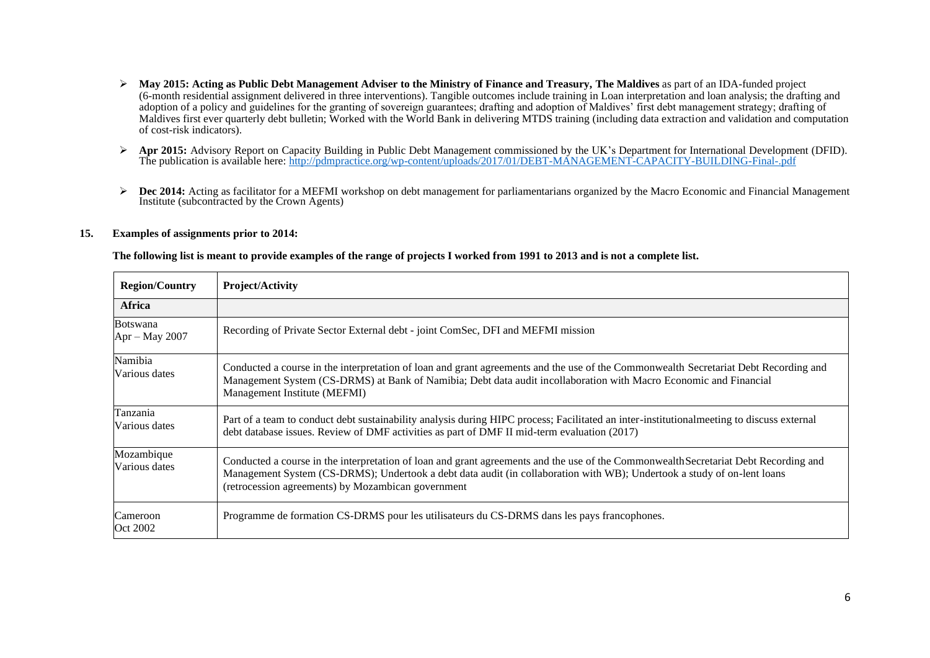- $\triangleright$  May 2015; Acting as Public Debt Management Adviser to the Ministry of Finance and Treasury, The Maldives as part of an IDA-funded project (6-month residential assignment delivered in three interventions). Tangible outcomes include training in Loan interpretation and loan analysis; the drafting and adoption of a policy and guidelines for the granting of sovereign guarantees; drafting and adoption of Maldives' first debt management strategy; drafting of Maldives first ever quarterly debt bulletin; Worked with the World Bank in delivering MTDS training (including data extraction and validation and computation of cost-risk indicators).
- ➢ **Apr 2015:** Advisory Report on Capacity Building in Public Debt Management commissioned by the UK's Department for International Development (DFID). The publication is available here: <http://pdmpractice.org/wp-content/uploads/2017/01/DEBT-MANAGEMENT-CAPACITY-BUILDING-Final-.pdf>
- ➢ **Dec 2014:** Acting as facilitator for a MEFMI workshop on debt management for parliamentarians organized by the Macro Economic and Financial Management Institute (subcontracted by the Crown Agents)

#### **15. Examples of assignments prior to 2014:**

#### The following list is meant to provide examples of the range of projects I worked from 1991 to 2013 and is not a complete list.

| <b>Region/Country</b>             | <b>Project/Activity</b>                                                                                                                                                                                                                                                                                               |
|-----------------------------------|-----------------------------------------------------------------------------------------------------------------------------------------------------------------------------------------------------------------------------------------------------------------------------------------------------------------------|
| <b>Africa</b>                     |                                                                                                                                                                                                                                                                                                                       |
| <b>Botswana</b><br>Apr - May 2007 | Recording of Private Sector External debt - joint ComSec, DFI and MEFMI mission                                                                                                                                                                                                                                       |
| Namibia<br>Various dates          | Conducted a course in the interpretation of loan and grant agreements and the use of the Commonwealth Secretariat Debt Recording and<br>Management System (CS-DRMS) at Bank of Namibia; Debt data audit incollaboration with Macro Economic and Financial<br>Management Institute (MEFMI)                             |
| Tanzania<br>Various dates         | Part of a team to conduct debt sustainability analysis during HIPC process; Facilitated an inter-institutionalmeeting to discuss external<br>debt database issues. Review of DMF activities as part of DMF II mid-term evaluation (2017)                                                                              |
| Mozambique<br>Various dates       | Conducted a course in the interpretation of loan and grant agreements and the use of the Commonwealth Secretariat Debt Recording and<br>Management System (CS-DRMS); Undertook a debt data audit (in collaboration with WB); Undertook a study of on-lent loans<br>(retrocession agreements) by Mozambican government |
| Cameroon<br>Oct 2002              | Programme de formation CS-DRMS pour les utilisateurs du CS-DRMS dans les pays francophones.                                                                                                                                                                                                                           |